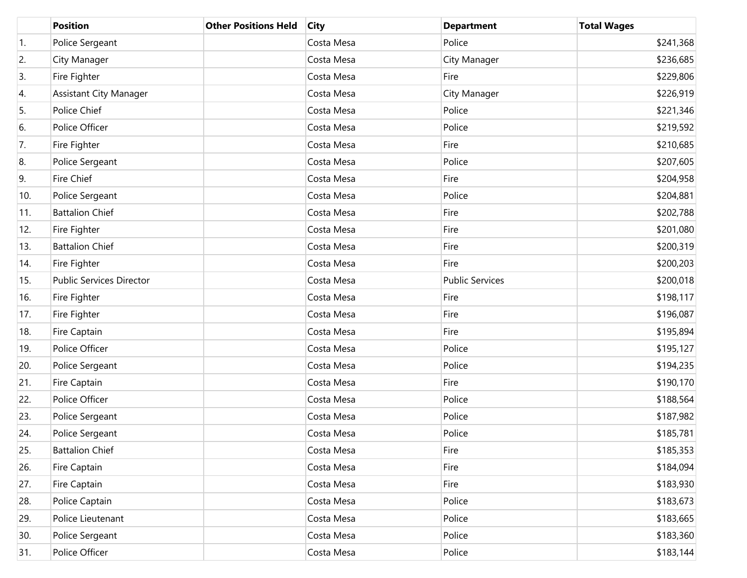|                  | <b>Position</b>                 | <b>Other Positions Held</b> | <b>City</b> | <b>Department</b>      | <b>Total Wages</b> |
|------------------|---------------------------------|-----------------------------|-------------|------------------------|--------------------|
| $\overline{1}$ . | Police Sergeant                 |                             | Costa Mesa  | Police                 | \$241,368          |
| 2.               | City Manager                    |                             | Costa Mesa  | City Manager           | \$236,685          |
| 3.               | Fire Fighter                    |                             | Costa Mesa  | Fire                   | \$229,806          |
| 4.               | <b>Assistant City Manager</b>   |                             | Costa Mesa  | City Manager           | \$226,919          |
| 5.               | Police Chief                    |                             | Costa Mesa  | Police                 | \$221,346          |
| 6.               | Police Officer                  |                             | Costa Mesa  | Police                 | \$219,592          |
| 7.               | Fire Fighter                    |                             | Costa Mesa  | Fire                   | \$210,685          |
| 8.               | Police Sergeant                 |                             | Costa Mesa  | Police                 | \$207,605          |
| 9.               | Fire Chief                      |                             | Costa Mesa  | Fire                   | \$204,958          |
| 10.              | Police Sergeant                 |                             | Costa Mesa  | Police                 | \$204,881          |
| 11.              | <b>Battalion Chief</b>          |                             | Costa Mesa  | Fire                   | \$202,788          |
| 12.              | Fire Fighter                    |                             | Costa Mesa  | Fire                   | \$201,080          |
| 13.              | <b>Battalion Chief</b>          |                             | Costa Mesa  | Fire                   | \$200,319          |
| 14.              | Fire Fighter                    |                             | Costa Mesa  | Fire                   | \$200,203          |
| 15.              | <b>Public Services Director</b> |                             | Costa Mesa  | <b>Public Services</b> | \$200,018          |
| 16.              | Fire Fighter                    |                             | Costa Mesa  | Fire                   | \$198,117          |
| 17.              | Fire Fighter                    |                             | Costa Mesa  | Fire                   | \$196,087          |
| 18.              | Fire Captain                    |                             | Costa Mesa  | Fire                   | \$195,894          |
| 19.              | Police Officer                  |                             | Costa Mesa  | Police                 | \$195,127          |
| 20.              | Police Sergeant                 |                             | Costa Mesa  | Police                 | \$194,235          |
| 21.              | Fire Captain                    |                             | Costa Mesa  | Fire                   | \$190,170          |
| 22.              | Police Officer                  |                             | Costa Mesa  | Police                 | \$188,564          |
| 23.              | Police Sergeant                 |                             | Costa Mesa  | Police                 | \$187,982          |
| 24.              | Police Sergeant                 |                             | Costa Mesa  | Police                 | \$185,781          |
| 25.              | <b>Battalion Chief</b>          |                             | Costa Mesa  | Fire                   | \$185,353          |
| 26.              | Fire Captain                    |                             | Costa Mesa  | Fire                   | \$184,094          |
| 27.              | Fire Captain                    |                             | Costa Mesa  | Fire                   | \$183,930          |
| 28.              | Police Captain                  |                             | Costa Mesa  | Police                 | \$183,673          |
| 29.              | Police Lieutenant               |                             | Costa Mesa  | Police                 | \$183,665          |
| 30.              | Police Sergeant                 |                             | Costa Mesa  | Police                 | \$183,360          |
| 31.              | Police Officer                  |                             | Costa Mesa  | Police                 | \$183,144          |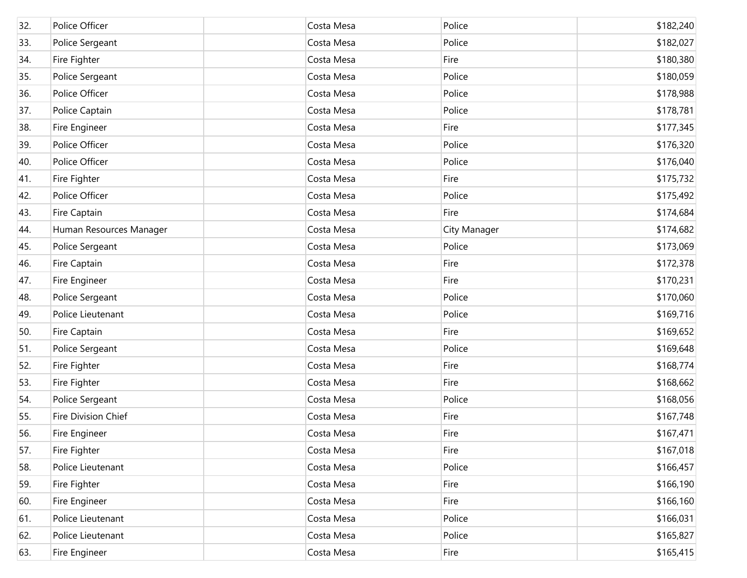| 32. | Police Officer          | Costa Mesa | Police       | \$182,240 |
|-----|-------------------------|------------|--------------|-----------|
| 33. | Police Sergeant         | Costa Mesa | Police       | \$182,027 |
| 34. | Fire Fighter            | Costa Mesa | Fire         | \$180,380 |
| 35. | Police Sergeant         | Costa Mesa | Police       | \$180,059 |
| 36. | Police Officer          | Costa Mesa | Police       | \$178,988 |
| 37. | Police Captain          | Costa Mesa | Police       | \$178,781 |
| 38. | Fire Engineer           | Costa Mesa | Fire         | \$177,345 |
| 39. | Police Officer          | Costa Mesa | Police       | \$176,320 |
| 40. | Police Officer          | Costa Mesa | Police       | \$176,040 |
| 41. | Fire Fighter            | Costa Mesa | Fire         | \$175,732 |
| 42. | Police Officer          | Costa Mesa | Police       | \$175,492 |
| 43. | Fire Captain            | Costa Mesa | Fire         | \$174,684 |
| 44. | Human Resources Manager | Costa Mesa | City Manager | \$174,682 |
| 45. | Police Sergeant         | Costa Mesa | Police       | \$173,069 |
| 46. | Fire Captain            | Costa Mesa | Fire         | \$172,378 |
| 47. | Fire Engineer           | Costa Mesa | Fire         | \$170,231 |
| 48. | Police Sergeant         | Costa Mesa | Police       | \$170,060 |
| 49. | Police Lieutenant       | Costa Mesa | Police       | \$169,716 |
| 50. | Fire Captain            | Costa Mesa | Fire         | \$169,652 |
| 51. | Police Sergeant         | Costa Mesa | Police       | \$169,648 |
| 52. | Fire Fighter            | Costa Mesa | Fire         | \$168,774 |
| 53. | Fire Fighter            | Costa Mesa | Fire         | \$168,662 |
| 54. | Police Sergeant         | Costa Mesa | Police       | \$168,056 |
| 55. | Fire Division Chief     | Costa Mesa | Fire         | \$167,748 |
| 56. | Fire Engineer           | Costa Mesa | Fire         | \$167,471 |
| 57. | Fire Fighter            | Costa Mesa | Fire         | \$167,018 |
| 58. | Police Lieutenant       | Costa Mesa | Police       | \$166,457 |
| 59. | Fire Fighter            | Costa Mesa | Fire         | \$166,190 |
| 60. | Fire Engineer           | Costa Mesa | Fire         | \$166,160 |
| 61. | Police Lieutenant       | Costa Mesa | Police       | \$166,031 |
| 62. | Police Lieutenant       | Costa Mesa | Police       | \$165,827 |
| 63. | Fire Engineer           | Costa Mesa | Fire         | \$165,415 |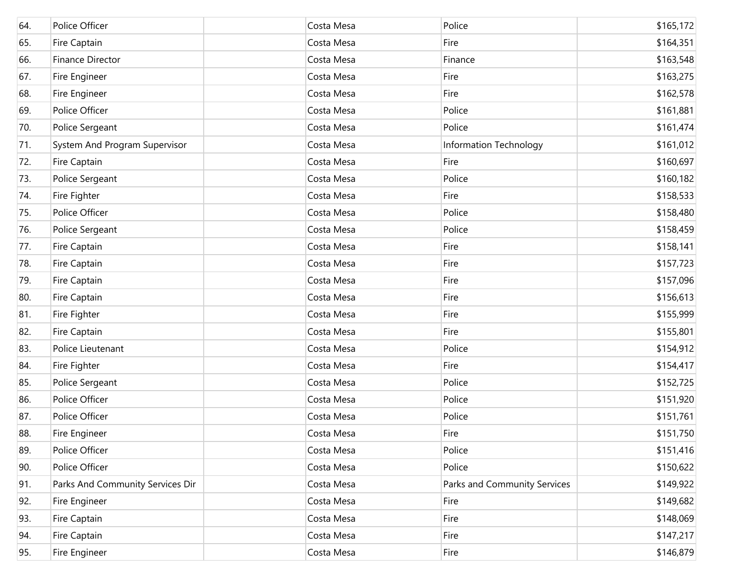| 64. | Police Officer                   | Costa Mesa | Police                       | \$165,172 |
|-----|----------------------------------|------------|------------------------------|-----------|
| 65. | Fire Captain                     | Costa Mesa | Fire                         | \$164,351 |
| 66. | Finance Director                 | Costa Mesa | Finance                      | \$163,548 |
| 67. | Fire Engineer                    | Costa Mesa | Fire                         | \$163,275 |
| 68. | Fire Engineer                    | Costa Mesa | Fire                         | \$162,578 |
| 69. | Police Officer                   | Costa Mesa | Police                       | \$161,881 |
| 70. | Police Sergeant                  | Costa Mesa | Police                       | \$161,474 |
| 71. | System And Program Supervisor    | Costa Mesa | Information Technology       | \$161,012 |
| 72. | Fire Captain                     | Costa Mesa | Fire                         | \$160,697 |
| 73. | Police Sergeant                  | Costa Mesa | Police                       | \$160,182 |
| 74. | Fire Fighter                     | Costa Mesa | Fire                         | \$158,533 |
| 75. | Police Officer                   | Costa Mesa | Police                       | \$158,480 |
| 76. | Police Sergeant                  | Costa Mesa | Police                       | \$158,459 |
| 77. | Fire Captain                     | Costa Mesa | Fire                         | \$158,141 |
| 78. | Fire Captain                     | Costa Mesa | Fire                         | \$157,723 |
| 79. | Fire Captain                     | Costa Mesa | Fire                         | \$157,096 |
| 80. | Fire Captain                     | Costa Mesa | Fire                         | \$156,613 |
| 81. | Fire Fighter                     | Costa Mesa | Fire                         | \$155,999 |
| 82. | Fire Captain                     | Costa Mesa | Fire                         | \$155,801 |
| 83. | Police Lieutenant                | Costa Mesa | Police                       | \$154,912 |
| 84. | Fire Fighter                     | Costa Mesa | Fire                         | \$154,417 |
| 85. | Police Sergeant                  | Costa Mesa | Police                       | \$152,725 |
| 86. | Police Officer                   | Costa Mesa | Police                       | \$151,920 |
| 87. | Police Officer                   | Costa Mesa | Police                       | \$151,761 |
| 88. | Fire Engineer                    | Costa Mesa | Fire                         | \$151,750 |
| 89. | Police Officer                   | Costa Mesa | Police                       | \$151,416 |
| 90. | Police Officer                   | Costa Mesa | Police                       | \$150,622 |
| 91. | Parks And Community Services Dir | Costa Mesa | Parks and Community Services | \$149,922 |
| 92. | Fire Engineer                    | Costa Mesa | Fire                         | \$149,682 |
| 93. | Fire Captain                     | Costa Mesa | Fire                         | \$148,069 |
| 94. | Fire Captain                     | Costa Mesa | Fire                         | \$147,217 |
| 95. | Fire Engineer                    | Costa Mesa | Fire                         | \$146,879 |